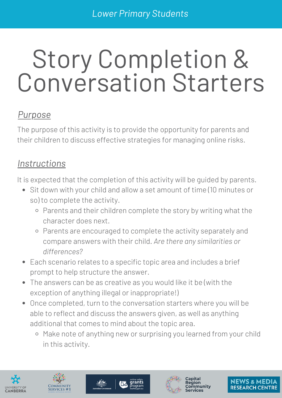# Story Completion & Conversation Starters

### *Purpose*

The purpose of this activity is to provide the opportunity for parents and their children to discuss effective strategies for managing online risks.

### *Instructions*

It is expected that the completion of this activity will be guided by parents.

- Sit down with your child and allow a set amount of time (10 minutes or so) to complete the activity.
	- o Parents and their children complete the story by writing what the character does next.
	- Parents are encouraged to complete the activity separately and compare answers with their child. *Are there any similarities or differences?*
- Each scenario relates to a specific topic area and includes a brief prompt to help structure the answer.
- The answers can be as creative as you would like it be (with the exception of anything illegal or inappropriate!)
- Once completed, turn to the conversation starters where you will be able to reflect and discuss the answers given, as well as anything additional that comes to mind about the topic area.
	- o Make note of anything new or surprising you learned from your child in this activity.









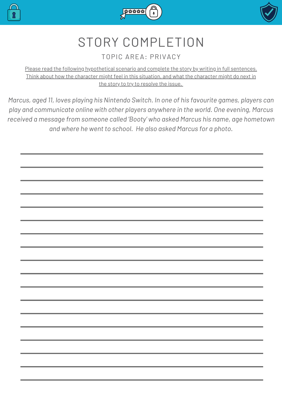





### STORY COMPLETION

#### TOPIC AREA: PRIVACY

Please read the following hypothetical scenario and complete the story by writing in full sentences. Think about how the character might feel in this situation, and what the character might do next in the story to try to resolve the issue.

*Marcus, aged 11, loves playing his Nintendo Switch. In one of his favourite games, players can play and communicate online with other players anywhere in the world. One evening, Marcus received a message from someone called 'Booty' who asked Marcus his name, age hometown and where he went to school. He also asked Marcus for a photo.*

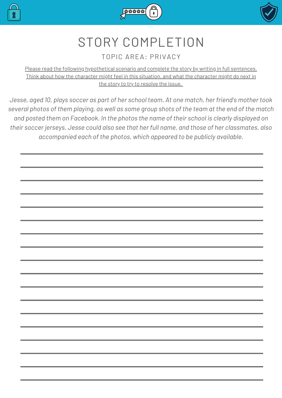





### STORY COMPLETION

#### TOPIC AREA: PRIVACY

Please read the following hypothetical scenario and complete the story by writing in full sentences. Think about how the character might feel in this situation, and what the character might do next in the story to try to resolve the issue.

*Jesse, aged 10, plays soccer as part of her school team. At one match, her friend's mother took* several photos of them playing, as well as some group shots of the team at the end of the match *and posted them on Facebook. In the photos the name of their school is clearly displayed on their soccer jerseys. Jesse could also see that her full name, and those of her classmates, also accompanied each of the photos, which appeared to be publicly available.*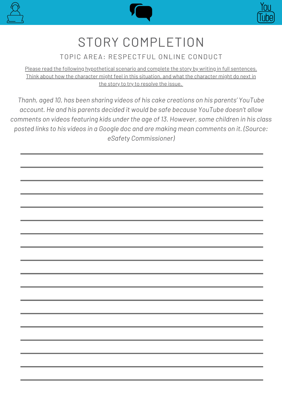





### STORY COMPLETION

#### TOPIC AREA: RESPECTFUL ONLINE CONDUCT

Please read the following hypothetical scenario and complete the story by writing in full sentences. Think about how the character might feel in this situation, and what the character might do next in the story to try to resolve the issue.

*Thanh, aged 10, has been sharing videos of his cake creations on his parents' YouTube account. He and his parents decided it would be safe because YouTube doesn't allow comments on videos featuring kids under the age of 13. However, some children in his class posted links to his videos in a Google doc and are making mean comments on it. (Source: eSafety Commissioner)*